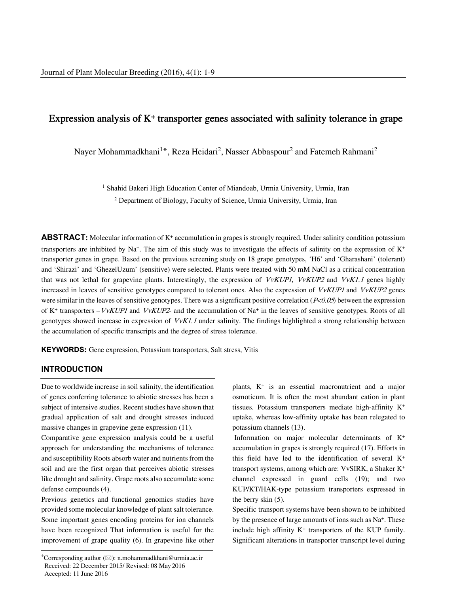# Expression analysis of K+ transporter genes associated with salinity tolerance in grape

Nayer Mohammadkhani<sup>1</sup>\*, Reza Heidari<sup>2</sup>, Nasser Abbaspour<sup>2</sup> and Fatemeh Rahmani<sup>2</sup>

<sup>1</sup> Shahid Bakeri High Education Center of Miandoab, Urmia University, Urmia, Iran <sup>2</sup> Department of Biology, Faculty of Science, Urmia University, Urmia, Iran

**ABSTRACT:** Molecular information of  $K^+$  accumulation in grapes is strongly required. Under salinity condition potassium transporters are inhibited by Na<sup>+</sup>. The aim of this study was to investigate the effects of salinity on the expression of  $K^+$ transporter genes in grape. Based on the previous screening study on 18 grape genotypes, 'H6' and 'Gharashani' (tolerant) and 'Shirazi' and 'GhezelUzum' (sensitive) were selected. Plants were treated with 50 mM NaCl as a critical concentration that was not lethal for grapevine plants. Interestingly, the expression of VvKUP1, VvKUP2 and VvK1.1 genes highly increased in leaves of sensitive genotypes compared to tolerant ones. Also the expression of VvKUP1 and VvKUP2 genes were similar in the leaves of sensitive genotypes. There was a significant positive correlation  $(P<0.05)$  between the expression of K<sup>+</sup> transporters – *VvKUP1* and *VvKUP2*- and the accumulation of Na<sup>+</sup> in the leaves of sensitive genotypes. Roots of all genotypes showed increase in expression of  $VvK1.1$  under salinity. The findings highlighted a strong relationship between the accumulation of specific transcripts and the degree of stress tolerance.

**KEYWORDS:** Gene expression, Potassium transporters, Salt stress, Vitis

#### **INTRODUCTION**

Due to worldwide increase in soil salinity, the identification of genes conferring tolerance to abiotic stresses has been a subject of intensive studies. Recent studies have shown that gradual application of salt and drought stresses induced massive changes in grapevine gene expression (11).

Comparative gene expression analysis could be a useful approach for understanding the mechanisms of tolerance and susceptibility Roots absorb water and nutrients from the soil and are the first organ that perceives abiotic stresses like drought and salinity. Grape roots also accumulate some defense compounds (4).

----------------------------------------------------------------------------- ---- Previous genetics and functional genomics studies have provided some molecular knowledge of plant salt tolerance. Some important genes encoding proteins for ion channels have been recognized That information is useful for the improvement of grape quality (6). In grapevine like other plants, K+ is an essential macronutrient and a major osmoticum. It is often the most abundant cation in plant tissues. Potassium transporters mediate high-affinity K+ uptake, whereas low-affinity uptake has been relegated to potassium channels (13).

Information on major molecular determinants of K+ accumulation in grapes is strongly required (17). Efforts in this field have led to the identification of several K+ transport systems, among which are: VvSIRK, a Shaker K+ channel expressed in guard cells (19); and two KUP/KT/HAK-type potassium transporters expressed in the berry skin (5).

Specific transport systems have been shown to be inhibited by the presence of large amounts of ions such as Na<sup>+</sup>. These include high affinity  $K^+$  transporters of the KUP family. Significant alterations in transporter transcript level during

<sup>\*</sup>Corresponding author  $(\boxtimes)$ : n.mohammadkhani@urmia.ac.ir Received: 22 December 2015/ Revised: 08 May 2016 Accepted: 11 June 2016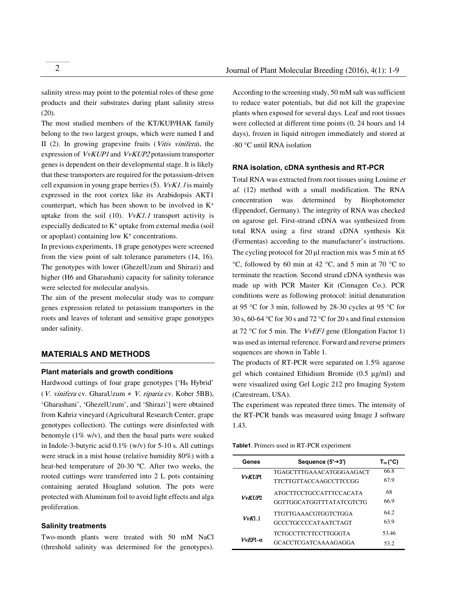salinity stress may point to the potential roles of these gene products and their substrates during plant salinity stress  $(20)$ .

The most studied members of the KT/KUP/HAK family belong to the two largest groups, which were named I and II (2). In growing grapevine fruits (Vitis vinifera), the expression of VvKUP1 and VvKUP2 potassium transporter genes is dependent on their developmental stage. It is likely that these transporters are required for the potassium-driven cell expansion in young grape berries  $(5)$ .  $VvK1.1$  is mainly expressed in the root cortex like its Arabidopsis AKT1 counterpart, which has been shown to be involved in K+ uptake from the soil (10).  $VvK1.1$  transport activity is especially dedicated to  $K<sup>+</sup>$  uptake from external media (soil or apoplast) containing low  $K^+$  concentrations.

In previous experiments, 18 grape genotypes were screened from the view point of salt tolerance parameters (14, 16). The genotypes with lower (GhezelUzum and Shirazi) and higher (H6 and Gharashani) capacity for salinity tolerance were selected for molecular analysis.

The aim of the present molecular study was to compare genes expression related to potassium transporters in the roots and leaves of tolerant and sensitive grape genotypes under salinity.

### **MATERIALS AND METHODS**

#### **Plant materials and growth conditions**

Hardwood cuttings of four grape genotypes ['H6 Hybrid' (V. vinifera cv. GharaUzum *×* V. riparia cv. Kober 5BB), 'Gharashani', 'GhezelUzum', and 'Shirazi'] were obtained from Kahriz vineyard (Agricultural Research Center, grape genotypes collection). The cuttings were disinfected with benomyle  $(1\% \text{ w/v})$ , and then the basal parts were soaked in Indole-3-butyric acid 0.1% (w/v) for 5-10 s. All cuttings were struck in a mist house (relative humidity 80%) with a heat-bed temperature of 20-30 ºC. After two weeks, the rooted cuttings were transferred into 2 L pots containing containing aerated Hoagland solution. The pots were protected with Aluminum foil to avoid light effects and alga proliferation.

#### **Salinity treatments**

Two-month plants were treated with 50 mM NaCl (threshold salinity was determined for the genotypes).

According to the screening study, 50 mM salt was sufficient to reduce water potentials, but did not kill the grapevine plants when exposed for several days. Leaf and root tissues were collected at different time points (0, 24 hours and 14 days), frozen in liquid nitrogen immediately and stored at -80 °C until RNA isolation

#### **RNA isolation, cDNA synthesis and RT-PCR**

Total RNA was extracted from root tissues using Louime et al. (12) method with a small modification. The RNA concentration was determined by Biophotometer (Eppendorf, Germany). The integrity of RNA was checked on agarose gel. First-strand cDNA was synthesized from total RNA using a first strand cDNA synthesis Kit (Fermentas) according to the manufacturer's instructions. The cycling protocol for 20 µl reaction mix was 5 min at 65 °C, followed by 60 min at 42 °C, and 5 min at 70 °C to terminate the reaction. Second strand cDNA synthesis was made up with PCR Master Kit (Cinnagen Co.). PCR conditions were as following protocol: initial denaturation at 95 °C for 3 min, followed by 28-30 cycles at 95 °C for 30 s, 60-64 °C for 30 s and 72 °C for 20 s and final extension at 72 °C for 5 min. The *VvEF1* gene (Elongation Factor 1) was used as internal reference. Forward and reverse primers sequences are shown in Table 1.

The products of RT-PCR were separated on 1.5% agarose gel which contained Ethidium Bromide (0.5 µg/ml) and were visualized using Gel Logic 212 pro Imaging System (Carestream, USA).

The experiment was repeated three times. The intensity of the RT-PCR bands was measured using Image J software 1.43.

**Table1**. Primers used in RT-PCR experiment

| Genes                 | Sequence $(5' \rightarrow 3')$                             | $T_m$ (°C)    |
|-----------------------|------------------------------------------------------------|---------------|
| <i><b>VvKTJPI</b></i> | TGAGCTTTGAAACATGGGAAGACT<br><b>TTCTTGTTACCAAGCCTTCCGG</b>  | 66.8<br>67.9  |
| VvKIIP2               | <b>ATGCTTCCTGCCATTTCCACATA</b><br>GGTTGGCATGGTTTATATCGTCTG | 68<br>66.9    |
| VvK1.1                | <b>TTGTTGAAACGTGGTCTGGA</b><br><b>GCCCTGCCCCATAATCTAGT</b> | 64.2<br>63.9  |
| VvEF1-α               | <b>TCTGCCTTCTTCCTTGGGTA</b><br>GCACCTCGATCAAAAGAGGA        | 53.46<br>53.2 |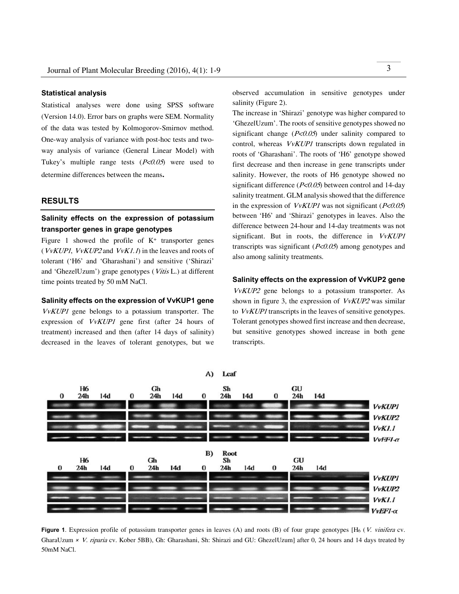#### **Statistical analysis**

Statistical analyses were done using SPSS software (Version 14.0). Error bars on graphs were SEM. Normality of the data was tested by Kolmogorov-Smirnov method. One-way analysis of variance with post-hoc tests and twoway analysis of variance (General Linear Model) with Tukey's multiple range tests  $(P<0.05)$  were used to determine differences between the means**.**

#### **RESULTS**

# **Salinity effects on the expression of potassium transporter genes in grape genotypes**

Figure 1 showed the profile of  $K^+$  transporter genes ( $VvKUP1$ ,  $VvKUP2$  and  $VvK1.1$ ) in the leaves and roots of tolerant ('H6' and 'Gharashani') and sensitive ('Shirazi' and 'GhezelUzum') grape genotypes (Vitis L.) at different time points treated by 50 mM NaCl.

#### **Salinity effects on the expression of VvKUP1 gene**

VvKUP1 gene belongs to a potassium transporter. The expression of VvKUP1 gene first (after 24 hours of treatment) increased and then (after 14 days of salinity) decreased in the leaves of tolerant genotypes, but we

observed accumulation in sensitive genotypes under salinity (Figure 2).

The increase in 'Shirazi' genotype was higher compared to 'GhezelUzum'. The roots of sensitive genotypes showed no significant change  $(P<0.05)$  under salinity compared to control, whereas VvKUP1 transcripts down regulated in roots of 'Gharashani'. The roots of 'H6' genotype showed first decrease and then increase in gene transcripts under salinity. However, the roots of H6 genotype showed no significant difference ( $P \le 0.05$ ) between control and 14-day salinity treatment. GLM analysis showed that the difference in the expression of  $VvKUP1$  was not significant ( $P<0.05$ ) between 'H6' and 'Shirazi' genotypes in leaves. Also the difference between 24-hour and 14-day treatments was not significant. But in roots, the difference in VvKUP1 transcripts was significant  $(P<0.05)$  among genotypes and also among salinity treatments.

## **Salinity effects on the expression of VvKUP2 gene**

VvKUP2 gene belongs to a potassium transporter. As shown in figure 3, the expression of VvKUP2 was similar to VvKUP1 transcripts in the leaves of sensitive genotypes. Tolerant genotypes showed first increase and then decrease, but sensitive genotypes showed increase in both gene transcripts.



**Figure 1**. Expression profile of potassium transporter genes in leaves (A) and roots (B) of four grape genotypes [H<sub>6</sub> (V. vinifera cv. GharaUzum *× V. riparia* cv. Kober 5BB), Gh: Gharashani, Sh: Shirazi and GU: GhezelUzum] after 0, 24 hours and 14 days treated by 50mM NaCl.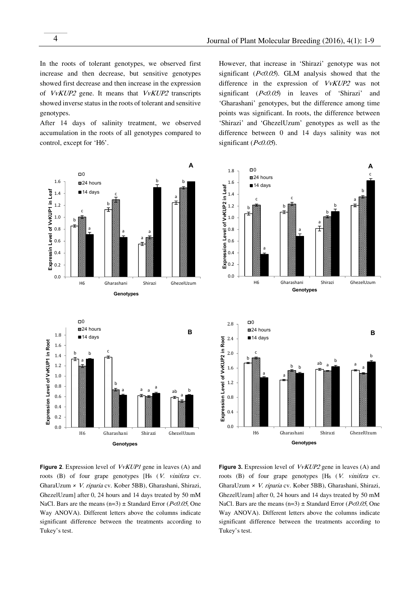In the roots of tolerant genotypes, we observed first increase and then decrease, but sensitive genotypes showed first decrease and then increase in the expression of VvKUP2 gene. It means that VvKUP2 transcripts showed inverse status in the roots of tolerant and sensitive genotypes.

After 14 days of salinity treatment, we observed accumulation in the roots of all genotypes compared to control, except for 'H6'.

However, that increase in 'Shirazi' genotype was not significant ( $P<0.05$ ). GLM analysis showed that the difference in the expression of VvKUP2 was not significant  $(P<0.05)$  in leaves of 'Shirazi' and 'Gharashani' genotypes, but the difference among time points was significant. In roots, the difference between 'Shirazi' and 'GhezelUzum' genotypes as well as the difference between 0 and 14 days salinity was not significant  $(P<0.05)$ .





**Figure 2**. Expression level of VvKUP1 gene in leaves (A) and roots  $(B)$  of four grape genotypes  $[H_6 (V. \textit{vinifera} cv.$ GharaUzum *×* V. riparia cv. Kober 5BB), Gharashani, Shirazi, GhezelUzum] after 0, 24 hours and 14 days treated by 50 mM NaCl. Bars are the means (n=3)  $\pm$  Standard Error (P<0.05, One Way ANOVA). Different letters above the columns indicate significant difference between the treatments according to Tukey's test.

**Figure 3.** Expression level of VvKUP2 gene in leaves (A) and roots (B) of four grape genotypes [H<sub>6</sub> (V. vinifera cv. GharaUzum *×* V. riparia cv. Kober 5BB), Gharashani, Shirazi, GhezelUzum] after 0, 24 hours and 14 days treated by 50 mM NaCl. Bars are the means  $(n=3) \pm$  Standard Error (P<0.05, One Way ANOVA). Different letters above the columns indicate significant difference between the treatments according to Tukey's test.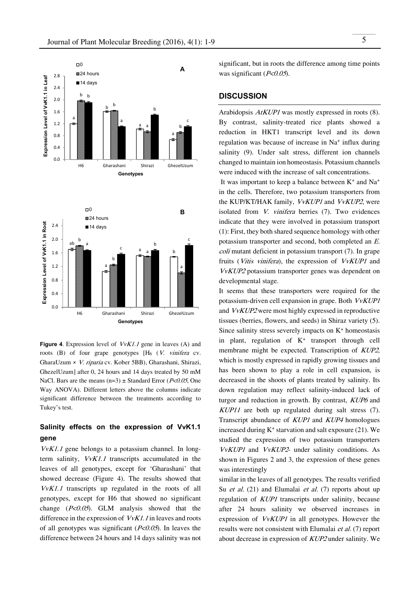

**Figure 4.** Expression level of *VvK1.1* gene in leaves (A) and roots  $(B)$  of four grape genotypes  $[H_6 (V. \textit{vinifera} cv.$ GharaUzum *×* V. riparia cv. Kober 5BB), Gharashani, Shirazi, GhezelUzum] after 0, 24 hours and 14 days treated by 50 mM NaCl. Bars are the means  $(n=3) \pm$  Standard Error (P<0.05, One Way ANOVA). Different letters above the columns indicate significant difference between the treatments according to Tukey's test.

# **Salinity effects on the expression of VvK1.1 gene**

VvK1.1 gene belongs to a potassium channel. In longterm salinity, VvK1.1 transcripts accumulated in the leaves of all genotypes, except for 'Gharashani' that showed decrease (Figure 4). The results showed that VvK1.1 transcripts up regulated in the roots of all genotypes, except for H6 that showed no significant change  $(P<0.05)$ . GLM analysis showed that the difference in the expression of  $VvK1.1$  in leaves and roots of all genotypes was significant  $(P<0.05)$ . In leaves the difference between 24 hours and 14 days salinity was not

significant, but in roots the difference among time points was significant ( $P<0.05$ ).

## **DISCUSSION**

Arabidopsis AtKUP1 was mostly expressed in roots (8). By contrast, salinity-treated rice plants showed a reduction in HKT1 transcript level and its down regulation was because of increase in Na+ influx during salinity (9). Under salt stress, different ion channels changed to maintain ion homeostasis. Potassium channels were induced with the increase of salt concentrations.

It was important to keep a balance between  $K^+$  and  $Na^+$ in the cells. Therefore, two potassium transporters from the KUP/KT/HAK family, VvKUP1 and VvKUP2, were isolated from V. vinifera berries (7). Two evidences indicate that they were involved in potassium transport (1): First, they both shared sequence homology with other potassium transporter and second, both completed an E. coli mutant deficient in potassium transport (7). In grape fruits (Vitis vinifera), the expression of VvKUP1 and VvKUP2 potassium transporter genes was dependent on developmental stage.

It seems that these transporters were required for the potassium-driven cell expansion in grape. Both VvKUP1 and VvKUP2 were most highly expressed in reproductive tissues (berries, flowers, and seeds) in Shiraz variety (5). Since salinity stress severely impacts on  $K<sup>+</sup>$  homeostasis in plant, regulation of  $K<sup>+</sup>$  transport through cell membrane might be expected. Transcription of KUP2, which is mostly expressed in rapidly growing tissues and has been shown to play a role in cell expansion, is decreased in the shoots of plants treated by salinity. Its down regulation may reflect salinity-induced lack of turgor and reduction in growth. By contrast, KUP6 and KUP11 are both up regulated during salt stress (7). Transcript abundance of KUP1 and KUP4 homologues increased during  $K^+$  starvation and salt exposure (21). We studied the expression of two potassium transporters VvKUP1 and VvKUP2- under salinity conditions. As shown in Figures 2 and 3, the expression of these genes was interestingly

similar in the leaves of all genotypes. The results verified Su *et al.* (21) and Elumalai *et al.* (7) reports about up regulation of KUP1 transcripts under salinity, because after 24 hours salinity we observed increases in expression of VvKUP1 in all genotypes. However the results were not consistent with Elumalai et al. (7) report about decrease in expression of KUP2 under salinity. We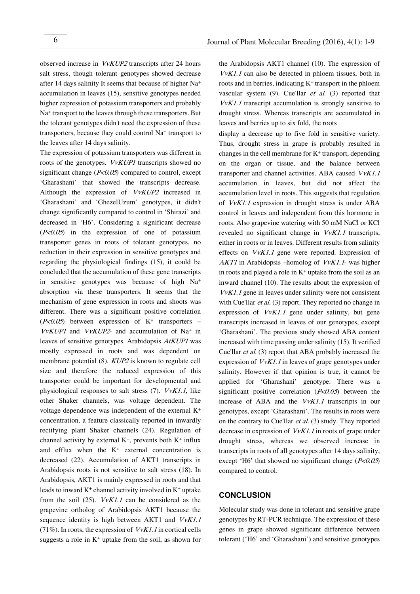observed increase in VvKUP2 transcripts after 24 hours salt stress, though tolerant genotypes showed decrease after 14 days salinity It seems that because of higher Na+ accumulation in leaves (15), sensitive genotypes needed higher expression of potassium transporters and probably Na+ transport to the leaves through these transporters. But the tolerant genotypes didn't need the expression of these transporters, because they could control Na+ transport to the leaves after 14 days salinity.

The expression of potassium transporters was different in roots of the genotypes. VvKUP1 transcripts showed no significant change  $(P<0.05)$  compared to control, except 'Gharashani' that showed the transcripts decrease. Although the expression of VvKUP2 increased in 'Gharashani' and 'GhezelUzum' genotypes, it didn't change significantly compared to control in 'Shirazi' and decreased in 'H6'. Considering a significant decrease  $(P<0.05)$  in the expression of one of potassium transporter genes in roots of tolerant genotypes, no reduction in their expression in sensitive genotypes and regarding the physiological findings (15), it could be concluded that the accumulation of these gene transcripts in sensitive genotypes was because of high Na+ absorption via these transporters. It seems that the mechanism of gene expression in roots and shoots was different. There was a significant positive correlation  $(P<0.05)$  between expression of K<sup>+</sup> transporters –  $VvKUP1$  and  $VvKUP2$ - and accumulation of Na<sup>+</sup> in leaves of sensitive genotypes. Arabidopsis AtKUP1 was mostly expressed in roots and was dependent on membrane potential (8). KUP2 is known to regulate cell size and therefore the reduced expression of this transporter could be important for developmental and physiological responses to salt stress  $(7)$ .  $VvK1.1$ , like other Shaker channels, was voltage dependent. The voltage dependence was independent of the external K+ concentration, a feature classically reported in inwardly rectifying plant Shaker channels (24). Regulation of channel activity by external  $K^+$ , prevents both  $K^+$  influx and efflux when the  $K^+$  external concentration is decreased (22). Accumulation of AKT1 transcripts in Arabidopsis roots is not sensitive to salt stress (18). In Arabidopsis, AKT1 is mainly expressed in roots and that leads to inward  $K^+$  channel activity involved in  $K^+$  uptake from the soil  $(25)$ .  $VvK1.1$  can be considered as the grapevine ortholog of Arabidopsis AKT1 because the sequence identity is high between AKT1 and  $VvK1.1$ (71%). In roots, the expression of  $VvK1.1$  in cortical cells suggests a role in  $K^+$  uptake from the soil, as shown for

the Arabidopsis AKT1 channel (10). The expression of VvK1.1 can also be detected in phloem tissues, both in roots and in berries, indicating  $K^+$  transport in the phloem vascular system (9). Cue'llar et al. (3) reported that VvK1.1 transcript accumulation is strongly sensitive to drought stress. Whereas transcripts are accumulated in leaves and berries up to six fold, the roots

display a decrease up to five fold in sensitive variety. Thus, drought stress in grape is probably resulted in changes in the cell membrane for  $K<sup>+</sup>$  transport, depending on the organ or tissue, and the balance between transporter and channel activities. ABA caused VvK1.1 accumulation in leaves, but did not affect the accumulation level in roots. This suggests that regulation of VvK1.1 expression in drought stress is under ABA control in leaves and independent from this hormone in roots. Also grapevine watering with 50 mM NaCl or KCl revealed no significant change in VvK1.1 transcripts, either in roots or in leaves. Different results from salinity effects on VvK1.1 gene were reported. Expression of AKT1 in Arabidopsis –homolog of *VvK1.1*- was higher in roots and played a role in  $K^+$  uptake from the soil as an inward channel (10). The results about the expression of VvK1.1 gene in leaves under salinity were not consistent with Cue'llar *et al.* (3) report. They reported no change in expression of  $VvK1.1$  gene under salinity, but gene transcripts increased in leaves of our genotypes, except 'Gharashani'. The previous study showed ABA content increased with time passing under salinity (15). It verified Cue'llar et al. (3) report that ABA probably increased the expression of VvK1.1 in leaves of grape genotypes under salinity. However if that opinion is true, it cannot be applied for 'Gharashani' genotype. There was a significant positive correlation  $(P<0.05)$  between the increase of ABA and the VvK1.1 transcripts in our genotypes, except 'Gharashani'. The results in roots were on the contrary to Cue'llar et al. (3) study. They reported decrease in expression of *VvK1.1* in roots of grape under drought stress, whereas we observed increase in transcripts in roots of all genotypes after 14 days salinity, except 'H6' that showed no significant change ( $P<0.05$ ) compared to control.

## **CONCLUSION**

Molecular study was done in tolerant and sensitive grape genotypes by RT-PCR technique. The expression of these genes in grape showed significant difference between tolerant ('H6' and 'Gharashani') and sensitive genotypes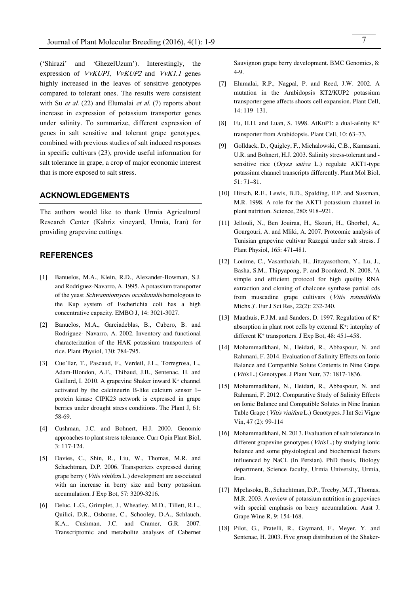('Shirazi' and 'GhezelUzum'). Interestingly, the expression of VvKUP1, VvKUP2 and VvK1.1 genes highly increased in the leaves of sensitive genotypes compared to tolerant ones. The results were consistent with Su *et al.* (22) and Elumalai *et al.* (7) reports about increase in expression of potassium transporter genes under salinity. To summarize, different expression of genes in salt sensitive and tolerant grape genotypes, combined with previous studies of salt induced responses in specific cultivars (23), provide useful information for salt tolerance in grape, a crop of major economic interest that is more exposed to salt stress.

# **ACKNOWLEDGEMENTS**

The authors would like to thank Urmia Agricultural Research Center (Kahriz vineyard, Urmia, Iran) for providing grapevine cuttings.

#### **REFERENCES**

- [1] Banuelos, M.A., Klein, R.D., Alexander-Bowman, S.J. and Rodriguez-Navarro, A. 1995. A potassium transporter of the yeast Schwanniomyces occidentalis homologous to the Kup system of Escherichia coli has a high concentrative capacity. EMBO J, 14: 3021-3027.
- [2] Banuelos, M.A., Garciadeblas, B., Cubero, B. and Rodriguez- Navarro, A. 2002. Inventory and functional characterization of the HAK potassium transporters of rice. Plant Physiol, 130: 784-795.
- [3] Cue´llar, T., Pascaud, F., Verdeil, J.L., Torregrosa, L., Adam-Blondon, A.F., Thibaud, J.B., Sentenac, H. and Gaillard, I. 2010. A grapevine Shaker inward K+ channel activated by the calcineurin B-like calcium sensor 1– protein kinase CIPK23 network is expressed in grape berries under drought stress conditions. The Plant J, 61: 58-69.
- [4] Cushman, J.C. and Bohnert, H.J. 2000. Genomic approaches to plant stress tolerance. Curr Opin Plant Biol, 3: 117-124.
- [5] Davies, C., Shin, R., Liu, W., Thomas, M.R. and Schachtman, D.P. 2006. Transporters expressed during grape berry (Vitis vinifera L.) development are associated with an increase in berry size and berry potassium accumulation. J Exp Bot, 57: 3209-3216.
- [6] Deluc, L.G., Grimplet, J., Wheatley, M.D., Tillett, R.L., Quilici, D.R., Osborne, C., Schooley, D.A., Schlauch, K.A., Cushman, J.C. and Cramer, G.R. 2007. Transcriptomic and metabolite analyses of Cabernet

Sauvignon grape berry development. BMC Genomics, 8: 4-9.

- [7] Elumalai, R.P., Nagpal, P. and Reed, J.W. 2002. A mutation in the Arabidopsis KT2/KUP2 potassium transporter gene affects shoots cell expansion. Plant Cell, 14: 119–131.
- [8] Fu, H.H. and Luan, S. 1998. AtKuP1: a dual-affinity  $K^+$ transporter from Arabidopsis. Plant Cell, 10: 63–73.
- [9] Golldack, D., Quigley, F., Michalowski, C.B., Kamasani, U.R. and Bohnert, H.J. 2003. Salinity stress-tolerant and sensitive rice (Oryza sativa L.) regulate AKT1-type potassium channel transcripts differently. Plant Mol Biol, 51: 71–81.
- [10] Hirsch, R.E., Lewis, B.D., Spalding, E.P. and Sussman, M.R. 1998. A role for the AKT1 potassium channel in plant nutrition. Science, 280: 918–921.
- [11] Jellouli, N., Ben Jouiraa, H., Skouri, H., Ghorbel, A., Gourgouri, A. and Mliki, A. 2007. Proteomic analysis of Tunisian grapevine cultivar Razegui under salt stress. J Plant Physiol, 165: 471-481.
- [12] Louime, C., Vasanthaiah, H., Jittayasothorn, Y., Lu, J., Basha, S.M., Thipyapong, P. and Boonkerd, N. 2008. 'A simple and efficient protocol for high quality RNA extraction and cloning of chalcone synthase partial cds from muscadine grape cultivars (Vitis rotundifolia Michx.)'. Eur J Sci Res, 22(2): 232-240.
- [13] Maathuis, F.J.M. and Sanders, D. 1997. Regulation of K<sup>+</sup> absorption in plant root cells by external K+: interplay of different K+ transporters. J Exp Bot, 48: 451–458.
- [14] Mohammadkhani, N., Heidari, R., Abbaspour, N. and Rahmani, F. 2014. Evaluation of Salinity Effects on Ionic Balance and Compatible Solute Contents in Nine Grape (Vitis L.) Genotypes. J Plant Nutr, 37: 1817-1836.
- [15] Mohammadkhani, N., Heidari, R., Abbaspour, N. and Rahmani, F. 2012. Comparative Study of Salinity Effects on Ionic Balance and Compatible Solutes in Nine Iranian Table Grape (Vitis vinifera L.) Genotypes. J Int Sci Vigne Vin, 47 (2): 99-114
- [16] Mohammadkhani, N. 2013. Evaluation of salt tolerance in different grapevine genotypes (*Vitis L*.) by studying ionic balance and some physiological and biochemical factors influenced by NaCl. (In Persian). PhD thesis, Biology department, Science faculty, Urmia University, Urmia, Iran.
- [17] Mpelasoka, B., Schachtman, D.P., Treeby, M.T., Thomas, M.R. 2003. A review of potassium nutrition in grapevines with special emphasis on berry accumulation. Aust J. Grape Wine R, 9: 154-168.
- [18] Pilot, G., Pratelli, R., Gaymard, F., Meyer, Y. and Sentenac, H. 2003. Five group distribution of the Shaker-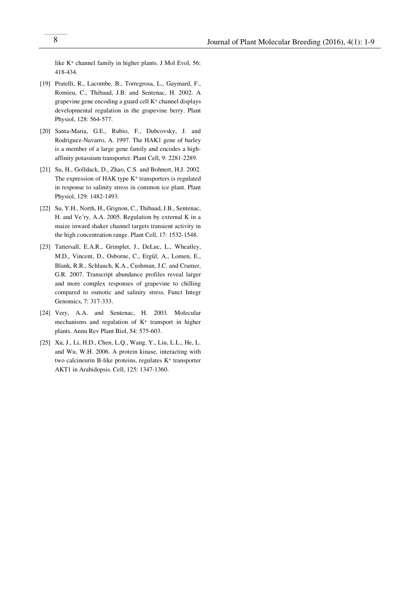like K+ channel family in higher plants. J Mol Evol, 56: 418-434.

- [19] Pratelli, R., Lacombe, B., Torregrosa, L., Gaymard, F., Romieu, C., Thibaud, J.B. and Sentenac, H. 2002. A grapevine gene encoding a guard cell K+ channel displays developmental regulation in the grapevine berry. Plant Physiol, 128: 564-577.
- [20] Santa-Maria, G.E., Rubio, F., Dubcovsky, J. and Rodriguez-Navarro, A. 1997. The HAK1 gene of barley is a member of a large gene family and encodes a highaffinity potassium transporter. Plant Cell, 9: 2281-2289.
- [21] Su, H., Golldack, D., Zhao, C.S. and Bohnert, H.J. 2002. The expression of HAK type K<sup>+</sup> transporters is regulated in response to salinity stress in common ice plant. Plant Physiol, 129: 1482-1493.
- [22] Su, Y.H., North, H., Grignon, C., Thibaud, J.B., Sentenac, H. and Ve´ry, A.A. 2005. Regulation by external K in a maize inward shaker channel targets transient activity in the high concentration range. Plant Cell, 17: 1532-1548.
- [23] Tattersall, E.A.R., Grimplet, J., DeLuc, L., Wheatley, M.D., Vincent, D., Osborne, C., Ergül, A., Lomen, E., Blank, R.R., Schlauch, K.A., Cushman, J.C. and Cramer, G.R. 2007. Transcript abundance profiles reveal larger and more complex responses of grapevine to chilling compared to osmotic and salinity stress. Funct Integr Genomics, 7: 317-333.
- [24] Very, A.A. and Sentenac, H. 2003. Molecular mechanisms and regulation of K+ transport in higher plants. Annu Rev Plant Biol, 54: 575-603.
- [25] Xu, J., Li, H.D., Chen, L.Q., Wang, Y., Liu, L.L., He, L. and Wu, W.H. 2006. A protein kinase, interacting with two calcineurin B-like proteins, regulates K+ transporter AKT1 in Arabidopsis. Cell, 125: 1347-1360.